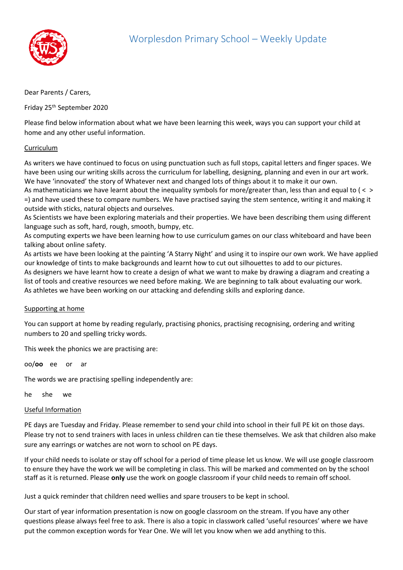

## Dear Parents / Carers,

Friday 25th September 2020

Please find below information about what we have been learning this week, ways you can support your child at home and any other useful information.

## Curriculum

As writers we have continued to focus on using punctuation such as full stops, capital letters and finger spaces. We have been using our writing skills across the curriculum for labelling, designing, planning and even in our art work. We have 'innovated' the story of Whatever next and changed lots of things about it to make it our own.

As mathematicians we have learnt about the inequality symbols for more/greater than, less than and equal to ( < > =) and have used these to compare numbers. We have practised saying the stem sentence, writing it and making it outside with sticks, natural objects and ourselves.

As Scientists we have been exploring materials and their properties. We have been describing them using different language such as soft, hard, rough, smooth, bumpy, etc.

As computing experts we have been learning how to use curriculum games on our class whiteboard and have been talking about online safety.

As artists we have been looking at the painting 'A Starry Night' and using it to inspire our own work. We have applied our knowledge of tints to make backgrounds and learnt how to cut out silhouettes to add to our pictures.

As designers we have learnt how to create a design of what we want to make by drawing a diagram and creating a list of tools and creative resources we need before making. We are beginning to talk about evaluating our work. As athletes we have been working on our attacking and defending skills and exploring dance.

## Supporting at home

You can support at home by reading regularly, practising phonics, practising recognising, ordering and writing numbers to 20 and spelling tricky words.

This week the phonics we are practising are:

oo/**oo** ee or ar

The words we are practising spelling independently are:

he she we

## Useful Information

PE days are Tuesday and Friday. Please remember to send your child into school in their full PE kit on those days. Please try not to send trainers with laces in unless children can tie these themselves. We ask that children also make sure any earrings or watches are not worn to school on PE days.

If your child needs to isolate or stay off school for a period of time please let us know. We will use google classroom to ensure they have the work we will be completing in class. This will be marked and commented on by the school staff as it is returned. Please **only** use the work on google classroom if your child needs to remain off school.

Just a quick reminder that children need wellies and spare trousers to be kept in school.

Our start of year information presentation is now on google classroom on the stream. If you have any other questions please always feel free to ask. There is also a topic in classwork called 'useful resources' where we have put the common exception words for Year One. We will let you know when we add anything to this.